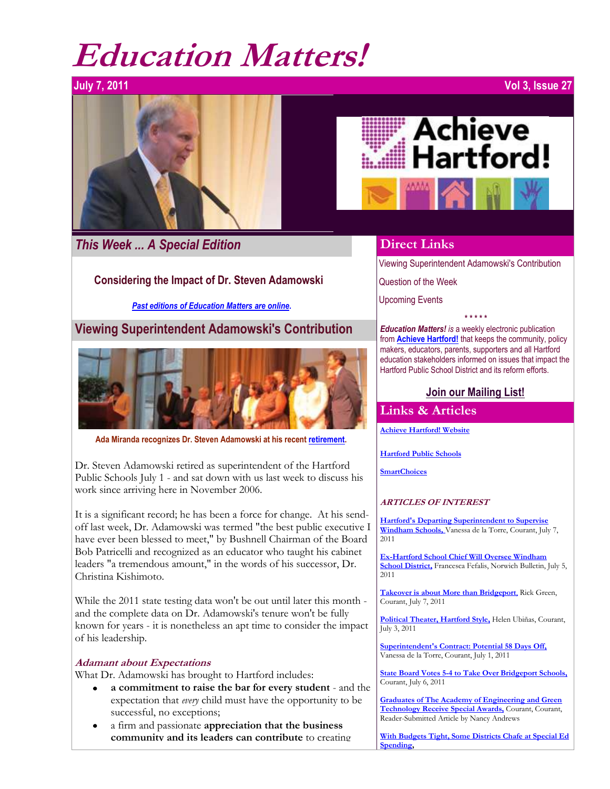## **Education Matters!**

# $\overline{\phantom{a}}$

*This Week ... A Special Edition*

#### **Considering the Impact of Dr. Steven Adamowski**

*[Past editions of Education Matters are online.](http://www.achievehartford.org/education.php)*

**Viewing Superintendent Adamowski's Contribution**



**Ada Miranda recognizes Dr. Steven Adamowski at his recent [retirement.](http://www.courant.com/community/hartford/hc-steven-adamowski-0630-20110629,0,5968356.story)**

Dr. Steven Adamowski retired as superintendent of the Hartford Public Schools July 1 - and sat down with us last week to discuss his work since arriving here in November 2006.

It is a significant record; he has been a force for change. At his sendoff last week, Dr. Adamowski was termed "the best public executive I have ever been blessed to meet," by Bushnell Chairman of the Board Bob Patricelli and recognized as an educator who taught his cabinet leaders "a tremendous amount," in the words of his successor, Dr. Christina Kishimoto.

While the 2011 state testing data won't be out until later this month and the complete data on Dr. Adamowski's tenure won't be fully known for years - it is nonetheless an apt time to consider the impact of his leadership.

#### **Adamant about Expectations**

What Dr. Adamowski has brought to Hartford includes:

- **a commitment to raise the bar for every student** and the  $\bullet$ expectation that *every* child must have the opportunity to be successful, no exceptions;
- a firm and passionate **appreciation that the business community and its leaders can contribute** to creating



#### **Direct Links**

[Viewing Superintendent Adamowski's Contribution](http://archive.constantcontact.com/fs031/1102778616856/archive/1106448335278.html#LETTER.BLOCK17)

[Question of the Week](http://archive.constantcontact.com/fs031/1102778616856/archive/1106448335278.html#LETTER.BLOCK12)

[Upcoming Events](http://archive.constantcontact.com/fs031/1102778616856/archive/1106448335278.html#LETTER.BLOCK13)

*\* \* \* \* \* Education Matters! is* a weekly electronic publication from **[Achieve Hartford!](http://www.achievehartford.org/)** that keeps the community, policy makers, educators, parents, supporters and all Hartford education stakeholders informed on issues that impact the Hartford Public School District and its reform efforts.

#### **[Join our Mailing List!](http://visitor.r20.constantcontact.com/email.jsp?m=1102778616856)**

#### **Links & Articles**

**[Achieve Hartford! Website](http://www.achievehartford.org/)**

**[Hartford Public Schools](http://www.hartfordschools.org/)**

**[SmartChoices](http://smartchoices.trincoll.edu/)**

#### **ARTICLES OF INTEREST**

**[Hartford's Departing Superintendent to Supervise](http://www.courant.com/community/hartford/hc-hartford-adamowski-windham-0708-20110707,0,4804622.story)  [Windham Schools,](http://www.courant.com/community/hartford/hc-hartford-adamowski-windham-0708-20110707,0,4804622.story)** Vanessa de la Torre, Courant, July 7, 2011

**[Ex-Hartford School Chief Will Oversee Windham](http://www.norwichbulletin.com/newsnow/x1672985937/Ex-Hartford-school-chief-will-oversee-Windham-district#axzz1RPSRFEyq)  [School District,](http://www.norwichbulletin.com/newsnow/x1672985937/Ex-Hartford-school-chief-will-oversee-Windham-district#axzz1RPSRFEyq)** Francesca Fefalis, Norwich Bulletin, July 5,  $2011$ 

**[Takeover is about More than Bridgeport](http://www.courant.com/news/politics/hc-green-schools-in-trouble-0707-20110706,0,6670720.column)**, Rick Green, Courant, July 7, 2011

**[Political Theater, Hartford Style,](http://www.courant.com/news/opinion/hc-ubinas-violence0703-20110703,0,98812.column)** Helen Ubiñas, Courant, July 3, 2011

**[Superintendent's Contract: Potential 58 Days Off,](http://www.courant.com/community/hartford/hc-hartford-kishimoto-contract-0702-20110701,0,3251300.story)** Vanessa de la Torre, Courant, July 1, 2011

**[State Board Votes 5-4 to Take Over Bridgeport Schools,](http://www.courant.com/news/education/hc-bridgeport-takeover-0707-20110706,0,1029007.story)** Courant, July 6, 2011

**[Graduates of The Academy of Engineering and Green](http://www.courant.com/community/hc-community-articleresults,0,5942637,results.formprofile?Query=48725HC)  [Technology Receive Special Awards,](http://www.courant.com/community/hc-community-articleresults,0,5942637,results.formprofile?Query=48725HC)** Courant, Courant, Reader-Submitted Article by Nancy Andrews

**[With Budgets Tight, Some Districts Chafe at Special Ed](http://www.ctmirror.org/story/13093/special-education)  [Spending,](http://www.ctmirror.org/story/13093/special-education)**

#### **July 7, 2011 Vol 3, Issue 27**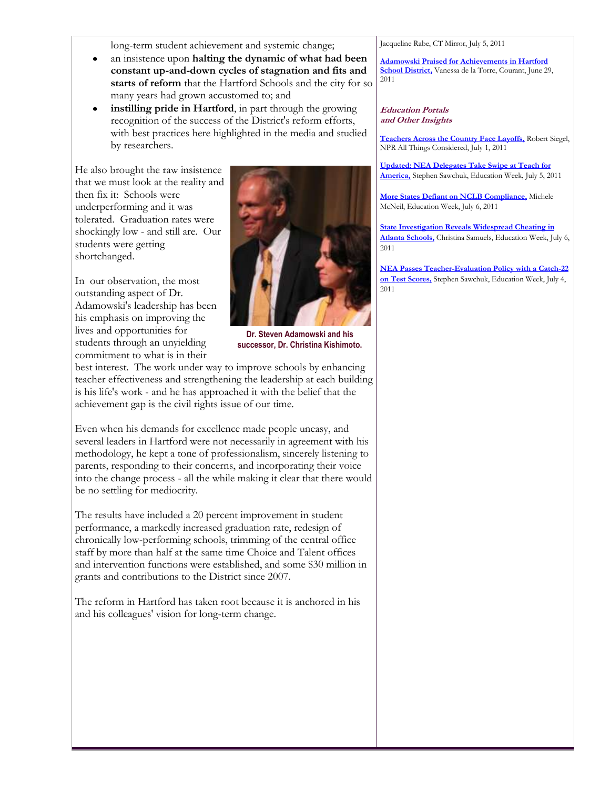long-term student achievement and systemic change;

- an insistence upon **halting the dynamic of what had been**   $\bullet$ **constant up-and-down cycles of stagnation and fits and starts of reform** that the Hartford Schools and the city for so many years had grown accustomed to; and
- **instilling pride in Hartford**, in part through the growing recognition of the success of the District's reform efforts, with best practices here highlighted in the media and studied by researchers.

He also brought the raw insistence that we must look at the reality and then fix it: Schools were underperforming and it was tolerated. Graduation rates were shockingly low - and still are. Our students were getting shortchanged.

In our observation, the most outstanding aspect of Dr. Adamowski's leadership has been his emphasis on improving the lives and opportunities for students through an unyielding commitment to what is in their



**Dr. Steven Adamowski and his successor, Dr. Christina Kishimoto.**

best interest. The work under way to improve schools by enhancing teacher effectiveness and strengthening the leadership at each building is his life's work - and he has approached it with the belief that the achievement gap is the civil rights issue of our time.

Even when his demands for excellence made people uneasy, and several leaders in Hartford were not necessarily in agreement with his methodology, he kept a tone of professionalism, sincerely listening to parents, responding to their concerns, and incorporating their voice into the change process - all the while making it clear that there would be no settling for mediocrity.

The results have included a 20 percent improvement in student performance, a markedly increased graduation rate, redesign of chronically low-performing schools, trimming of the central office staff by more than half at the same time Choice and Talent offices and intervention functions were established, and some \$30 million in grants and contributions to the District since 2007.

The reform in Hartford has taken root because it is anchored in his and his colleagues' vision for long-term change.

Jacqueline Rabe, CT Mirror, July 5, 2011

**[Adamowski Praised for Achievements in Hartford](http://www.courant.com/community/hartford/hc-steven-adamowski-0630-20110629,0,5968356.story)  [School District,](http://www.courant.com/community/hartford/hc-steven-adamowski-0630-20110629,0,5968356.story)** Vanessa de la Torre, Courant, June 29, 2011

#### **Education Portals and Other Insights**

**[Teachers Across the Country Face Layoffs,](http://www.npr.org/2011/07/01/137557915/teachers-across-the-country-face-layoffs)** Robert Siegel, NPR All Things Considered, July 1, 2011

**[Updated: NEA Delegates Take Swipe at Teach for](http://blogs.edweek.org/edweek/teacherbeat/2011/07/nea_delegates_take_swipe_at_te.html?cmp=ENL-EU-NEWS2)  [America,](http://blogs.edweek.org/edweek/teacherbeat/2011/07/nea_delegates_take_swipe_at_te.html?cmp=ENL-EU-NEWS2)** Stephen Sawchuk, Education Week, July 5, 2011

**[More States Defiant on NCLB Compliance,](http://www.edweek.org/ew/articles/2011/07/06/36nclb.h30.html?tkn=QYRF3Nmf9FZxGoT%2FztnfEBJLhcBVxa3w8iR8&cmp=ENL-EU-NEWS1)** Michele McNeil, Education Week, July 6, 2011

**[State Investigation Reveals Widespread Cheating in](http://blogs.edweek.org/edweek/District_Dossier/2011/07/state_investigation_reveals_wi.html?cmp=ENL-EU-NEWS2)  [Atlanta Schools,](http://blogs.edweek.org/edweek/District_Dossier/2011/07/state_investigation_reveals_wi.html?cmp=ENL-EU-NEWS2)** Christina Samuels, Education Week, July 6, 2011

**[NEA Passes Teacher-Evaluation Policy with a Catch-22](http://blogs.edweek.org/edweek/teacherbeat/2011/07/nea_passes_teacher_evaluation.html?cmp=ENL-EU-MOSTPOP)  [on Test Scores,](http://blogs.edweek.org/edweek/teacherbeat/2011/07/nea_passes_teacher_evaluation.html?cmp=ENL-EU-MOSTPOP)** Stephen Sawchuk, Education Week, July 4, 2011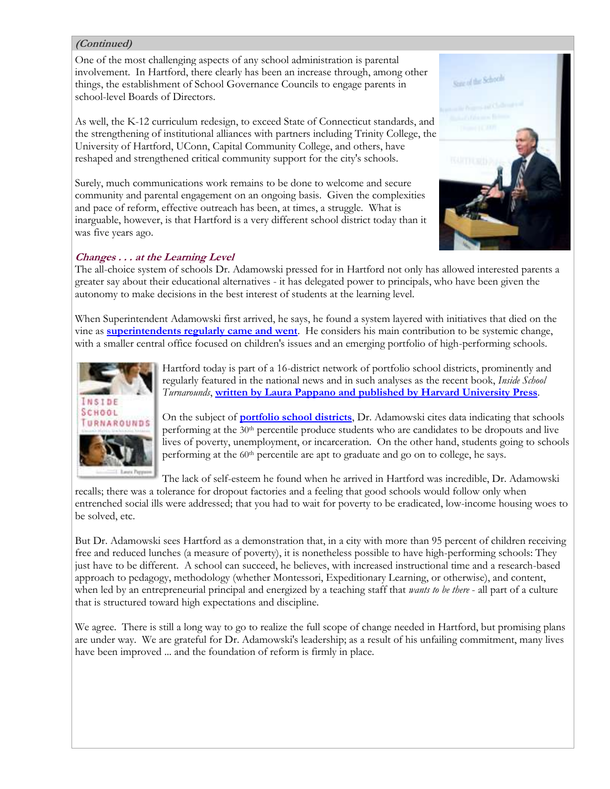#### **(Continued)**

One of the most challenging aspects of any school administration is parental involvement. In Hartford, there clearly has been an increase through, among other things, the establishment of School Governance Councils to engage parents in school-level Boards of Directors.

As well, the K-12 curriculum redesign, to exceed State of Connecticut standards, and the strengthening of institutional alliances with partners including Trinity College, the University of Hartford, UConn, Capital Community College, and others, have reshaped and strengthened critical community support for the city's schools.

Surely, much communications work remains to be done to welcome and secure community and parental engagement on an ongoing basis. Given the complexities and pace of reform, effective outreach has been, at times, a struggle. What is inarguable, however, is that Hartford is a very different school district today than it was five years ago.

#### **Changes . . . at the Learning Level**

The all-choice system of schools Dr. Adamowski pressed for in Hartford not only has allowed interested parents a greater say about their educational alternatives - it has delegated power to principals, who have been given the autonomy to make decisions in the best interest of students at the learning level.

When Superintendent Adamowski first arrived, he says, he found a system layered with initiatives that died on the vine as **[superintendents regularly came and went](http://archive.constantcontact.com/fs031/1102778616856/archive/1104009880104.html)**. He considers his main contribution to be systemic change, with a smaller central office focused on children's issues and an emerging portfolio of high-performing schools.



Hartford today is part of a 16-district network of portfolio school districts, prominently and regularly featured in the national news and in such analyses as the recent book, *Inside School Turnarounds*, **[written by Laura Pappano and published by Harvard University Press](http://www.hepg.org/hel/article/475)**.

On the subject of **[portfolio school districts](http://www.crpe.org/cs/crpe/view/projects/7)**, Dr. Adamowski cites data indicating that schools performing at the 30th percentile produce students who are candidates to be dropouts and live lives of poverty, unemployment, or incarceration. On the other hand, students going to schools performing at the 60<sup>th</sup> percentile are apt to graduate and go on to college, he says.

The lack of self-esteem he found when he arrived in Hartford was incredible, Dr. Adamowski

recalls; there was a tolerance for dropout factories and a feeling that good schools would follow only when entrenched social ills were addressed; that you had to wait for poverty to be eradicated, low-income housing woes to be solved, etc.

But Dr. Adamowski sees Hartford as a demonstration that, in a city with more than 95 percent of children receiving free and reduced lunches (a measure of poverty), it is nonetheless possible to have high-performing schools: They just have to be different. A school can succeed, he believes, with increased instructional time and a research-based approach to pedagogy, methodology (whether Montessori, Expeditionary Learning, or otherwise), and content, when led by an entrepreneurial principal and energized by a teaching staff that *wants to be there* - all part of a culture that is structured toward high expectations and discipline.

We agree. There is still a long way to go to realize the full scope of change needed in Hartford, but promising plans are under way. We are grateful for Dr. Adamowski's leadership; as a result of his unfailing commitment, many lives have been improved ... and the foundation of reform is firmly in place.